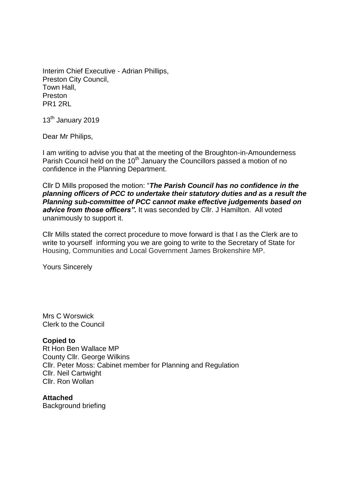Interim Chief Executive - Adrian Phillips, Preston City Council, Town Hall, Preston PR1 2RL

13<sup>th</sup> January 2019

Dear Mr Philips,

I am writing to advise you that at the meeting of the Broughton-in-Amounderness Parish Council held on the 10<sup>th</sup> January the Councillors passed a motion of no confidence in the Planning Department.

Cllr D Mills proposed the motion: "*The Parish Council has no confidence in the planning officers of PCC to undertake their statutory duties and as a result the Planning sub-committee of PCC cannot make effective judgements based on*  advice from those officers". It was seconded by Cllr. J Hamilton. All voted unanimously to support it.

Cllr Mills stated the correct procedure to move forward is that I as the Clerk are to write to yourself informing you we are going to write to the Secretary of State for Housing, Communities and Local Government James Brokenshire MP.

Yours Sincerely

Mrs C Worswick Clerk to the Council

## **Copied to**

Rt Hon Ben Wallace MP County Cllr. George Wilkins Cllr. Peter Moss: Cabinet member for Planning and Regulation Cllr. Neil Cartwight Cllr. Ron Wollan

**Attached** Background briefing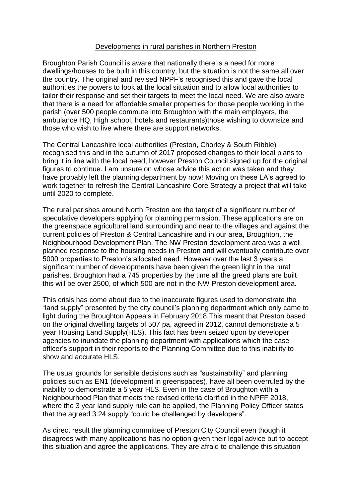## Developments in rural parishes in Northern Preston

Broughton Parish Council is aware that nationally there is a need for more dwellings/houses to be built in this country, but the situation is not the same all over the country. The original and revised NPPF's recognised this and gave the local authorities the powers to look at the local situation and to allow local authorities to tailor their response and set their targets to meet the local need. We are also aware that there is a need for affordable smaller properties for those people working in the parish (over 500 people commute into Broughton with the main employers, the ambulance HQ, High school, hotels and restaurants)those wishing to downsize and those who wish to live where there are support networks.

The Central Lancashire local authorities (Preston, Chorley & South Ribble) recognised this and in the autumn of 2017 proposed changes to their local plans to bring it in line with the local need, however Preston Council signed up for the original figures to continue. I am unsure on whose advice this action was taken and they have probably left the planning department by now! Moving on these LA's agreed to work together to refresh the Central Lancashire Core Strategy a project that will take until 2020 to complete.

The rural parishes around North Preston are the target of a significant number of speculative developers applying for planning permission. These applications are on the greenspace agricultural land surrounding and near to the villages and against the current policies of Preston & Central Lancashire and in our area, Broughton, the Neighbourhood Development Plan. The NW Preston development area was a well planned response to the housing needs in Preston and will eventually contribute over 5000 properties to Preston's allocated need. However over the last 3 years a significant number of developments have been given the green light in the rural parishes. Broughton had a 745 properties by the time all the greed plans are built this will be over 2500, of which 500 are not in the NW Preston development area.

This crisis has come about due to the inaccurate figures used to demonstrate the "land supply" presented by the city council's planning department which only came to light during the Broughton Appeals in February 2018.This meant that Preston based on the original dwelling targets of 507 pa, agreed in 2012, cannot demonstrate a 5 year Housing Land Supply(HLS). This fact has been seized upon by developer agencies to inundate the planning department with applications which the case officer's support in their reports to the Planning Committee due to this inability to show and accurate HLS.

The usual grounds for sensible decisions such as "sustainability" and planning policies such as EN1 (development in greenspaces), have all been overruled by the inability to demonstrate a 5 year HLS. Even in the case of Broughton with a Neighbourhood Plan that meets the revised criteria clarified in the NPFF 2018, where the 3 year land supply rule can be applied, the Planning Policy Officer states that the agreed 3.24 supply "could be challenged by developers".

As direct result the planning committee of Preston City Council even though it disagrees with many applications has no option given their legal advice but to accept this situation and agree the applications. They are afraid to challenge this situation